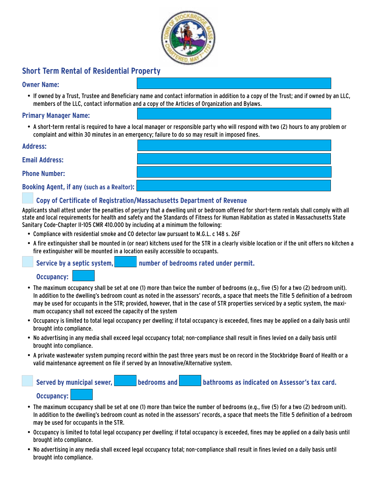

# **Short Term Rental of Residential Property**

### **Owner Name:**

• If owned by a Trust, Trustee and Beneficiary name and contact information in addition to a copy of the Trust; and if owned by an LLC, members of the LLC, contact information and a copy of the Articles of Organization and Bylaws.

### **Primary Manager Name:**

• A short-term rental is required to have a local manager or responsible party who will respond with two (2) hours to any problem or complaint and within 30 minutes in an emergency; failure to do so may result in imposed fines.

**Address:** 

**Email Address:** 

**Phone Number:**

**Booking Agent, if any (such as a Realtor):** 

# **Copy of Certificate of Registration/Massachusetts Department of Revenue**

Applicants shall attest under the penalties of perjury that a dwelling unit or bedroom offered for short-term rentals shall comply with all state and local requirements for health and safety and the Standards of Fitness for Human Habitation as stated in Massachusetts State Sanitary Code-Chapter II-105 CMR 410.000 by including at a minimum the following:

- Compliance with residential smoke and CO detector law pursuant to M.G.L. c 148 s. 26F
- • A fire extinguisher shall be mounted in (or near) kitchens used for the STR in a clearly visible location or if the unit offers no kitchen a fire extinguisher will be mounted in a location easily accessible to occupants.

Service by a septic system, **number of bedrooms rated under permit.** 

### **Occupancy:**

- • The maximum occupancy shall be set at one (1) more than twice the number of bedrooms (e.g., five (5) for a two (2) bedroom unit). In addition to the dwelling's bedroom count as noted in the assessors' records, a space that meets the Title 5 definition of a bedroom may be used for occupants in the STR; provided, however, that in the case of STR properties serviced by a septic system, the maximum occupancy shall not exceed the capacity of the system
- • Occupancy is limited to total legal occupancy per dwelling; if total occupancy is exceeded, fines may be applied on a daily basis until brought into compliance.
- • No advertising in any media shall exceed legal occupancy total; non-compliance shall result in fines levied on a daily basis until brought into compliance.
- • A private wastewater system pumping record within the past three years must be on record in the Stockbridge Board of Health or a valid maintenance agreement on file if served by an Innovative/Alternative system.

| Served by municipal sewer, | bedrooms and | bathrooms as indicated on Assessor's tax card. |
|----------------------------|--------------|------------------------------------------------|
| Occupancy:                 |              |                                                |

- • The maximum occupancy shall be set at one (1) more than twice the number of bedrooms (e.g., five (5) for a two (2) bedroom unit). In addition to the dwelling's bedroom count as noted in the assessors' records, a space that meets the Title 5 definition of a bedroom may be used for occupants in the STR.
- • Occupancy is limited to total legal occupancy per dwelling; if total occupancy is exceeded, fines may be applied on a daily basis until brought into compliance.
- • No advertising in any media shall exceed legal occupancy total; non-compliance shall result in fines levied on a daily basis until brought into compliance.

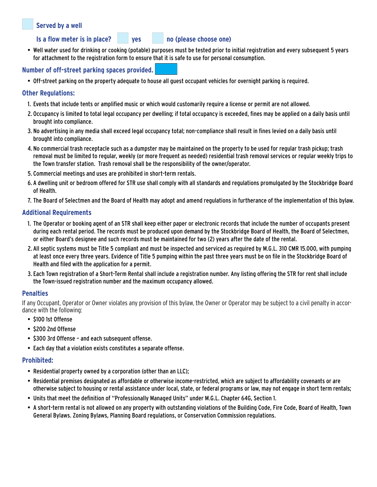# **Served by a well**

**Is a flow meter is in place?** yes no (please choose one)

• Well water used for drinking or cooking (potable) purposes must be tested prior to initial registration and every subsequent 5 years for attachment to the registration form to ensure that it is safe to use for personal consumption.

# **Number of off-street parking spaces provided.**

• Off-street parking on the property adequate to house all guest occupant vehicles for overnight parking is required.

### **Other Regulations:**

- 1. Events that include tents or amplified music or which would customarily require a license or permit are not allowed.
- 2. Occupancy is limited to total legal occupancy per dwelling; if total occupancy is exceeded, fines may be applied on a daily basis until brought into compliance.
- 3. No advertising in any media shall exceed legal occupancy total; non-compliance shall result in fines levied on a daily basis until brought into compliance.
- 4. No commercial trash receptacle such as a dumpster may be maintained on the property to be used for regular trash pickup; trash removal must be limited to regular, weekly (or more frequent as needed) residential trash removal services or regular weekly trips to the Town transfer station. Trash removal shall be the responsibility of the owner/operator.
- 5. Commercial meetings and uses are prohibited in short-term rentals.
- 6. A dwelling unit or bedroom offered for STR use shall comply with all standards and regulations promulgated by the Stockbridge Board of Health.
- 7. The Board of Selectmen and the Board of Health may adopt and amend regulations in furtherance of the implementation of this bylaw.

### **Additional Requirements**

- 1. The Operator or booking agent of an STR shall keep either paper or electronic records that include the number of occupants present during each rental period. The records must be produced upon demand by the Stockbridge Board of Health, the Board of Selectmen, or either Board's designee and such records must be maintained for two (2) years after the date of the rental.
- 2. All septic systems must be Title 5 compliant and must be inspected and serviced as required by M.G.L. 310 CMR 15.000, with pumping at least once every three years. Evidence of Title 5 pumping within the past three years must be on file in the Stockbridge Board of Health and filed with the application for a permit.
- 3. Each Town registration of a Short-Term Rental shall include a registration number. Any listing offering the STR for rent shall include the Town-issued registration number and the maximum occupancy allowed.

# **Penalties**

If any Occupant, Operator or Owner violates any provision of this bylaw, the Owner or Operator may be subject to a civil penalty in accordance with the following:

- • \$100 1st Offense
- • \$200 2nd Offense
- \$300 3rd Offense and each subsequent offense.
- Each day that a violation exists constitutes a separate offense.

# **Prohibited:**

- Residential property owned by a corporation (other than an LLC);
- • Residential premises designated as affordable or otherwise income-restricted, which are subject to affordability covenants or are otherwise subject to housing or rental assistance under local, state, or federal programs or law, may not engage in short term rentals;
- • Units that meet the definition of "Professionally Managed Units" under M.G.L. Chapter 64G, Section 1.
- • A short-term rental is not allowed on any property with outstanding violations of the Building Code, Fire Code, Board of Health, Town General Bylaws. Zoning Bylaws, Planning Board regulations, or Conservation Commission regulations.